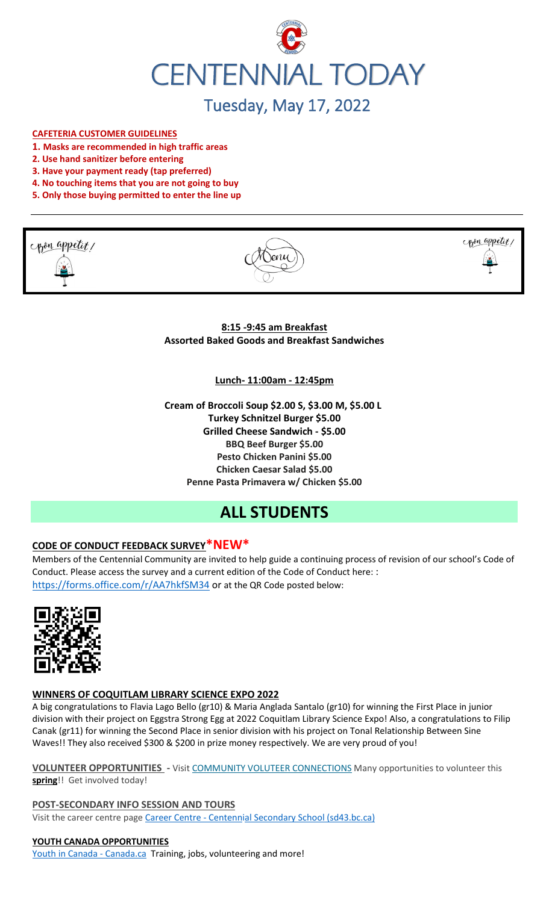

# Tuesday, May 17, 2022

#### **CAFETERIA CUSTOMER GUIDELINES**

- **1. Masks are recommended in high traffic areas**
- **2. Use hand sanitizer before entering**
- **3. Have your payment ready (tap preferred)**
- **4. No touching items that you are not going to buy**
- **5. Only those buying permitted to enter the line up**







**8:15 -9:45 am Breakfast Assorted Baked Goods and Breakfast Sandwiches**

**Lunch- 11:00am - 12:45pm**

**Cream of Broccoli Soup \$2.00 S, \$3.00 M, \$5.00 L Turkey Schnitzel Burger \$5.00 Grilled Cheese Sandwich - \$5.00 BBQ Beef Burger \$5.00 Pesto Chicken Panini \$5.00 Chicken Caesar Salad \$5.00 Penne Pasta Primavera w/ Chicken \$5.00**

# **ALL STUDENTS**

# **CODE OF CONDUCT FEEDBACK SURVEY\*NEW\***

Members of the Centennial Community are invited to help guide a continuing process of revision of our school's Code of Conduct. Please access the survey and a current edition of the Code of Conduct here: : <https://forms.office.com/r/AA7hkfSM34> or at the QR Code posted below:



#### **WINNERS OF COQUITLAM LIBRARY SCIENCE EXPO 2022**

A big congratulations to Flavia Lago Bello (gr10) & Maria Anglada Santalo (gr10) for winning the First Place in junior division with their project on Eggstra Strong Egg at 2022 Coquitlam Library Science Expo! Also, a congratulations to Filip Canak (gr11) for winning the Second Place in senior division with his project on Tonal Relationship Between Sine Waves!! They also received \$300 & \$200 in prize money respectively. We are very proud of you!

**VOLUNTEER OPPORTUNITIES -** Visit [COMMUNITY VOLUTEER CONNECTIONS](http://cvc.bcvolunteer.ca/?utm_medium=email&_hsmi=212053802&_hsenc=p2ANqtz-9C8dpzKk2EMx5WaRlcu1rFP2YEXC5VAFvsOvn5_wxMc57Cdw3Mh5OQLY2UlP06JDrovG2rZ7VwFdjY3Ko2dQzZDqra3w&utm_content=212053802&utm_source=hs_email) Many opportunities to volunteer this **spring**!! Get involved today!

**POST-SECONDARY INFO SESSION AND TOURS** Visit the career centre page Career Centre - [Centennial Secondary School \(sd43.bc.ca\)](https://www.sd43.bc.ca/school/centennial/ProgramsServices/CareerCentre/postsecondary/Pages/default.aspx#/=)

#### **YOUTH CANADA OPPORTUNITIES**

[Youth in Canada -](https://www.canada.ca/en/services/youth.html) Canada.ca Training, jobs, volunteering and more!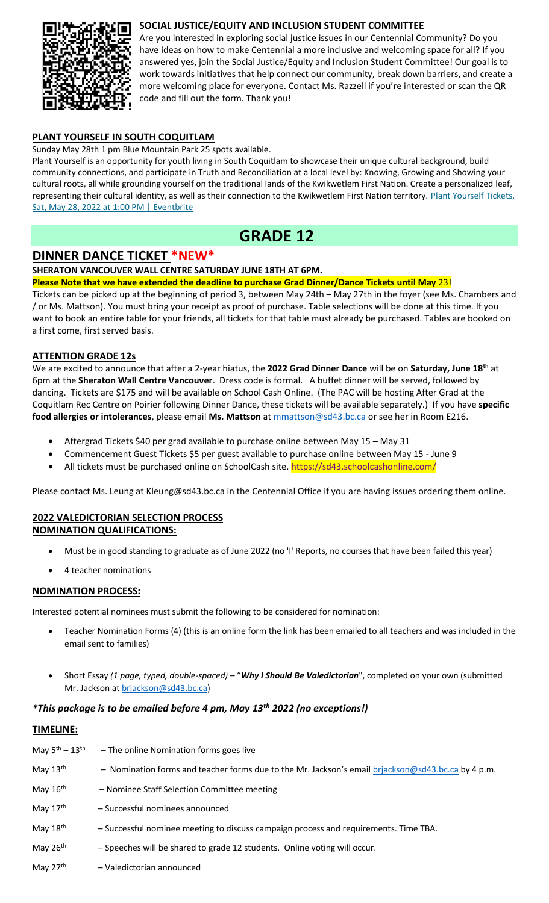## **SOCIAL JUSTICE/EQUITY AND INCLUSION STUDENT COMMITTEE**



Are you interested in exploring social justice issues in our Centennial Community? Do you have ideas on how to make Centennial a more inclusive and welcoming space for all? If you answered yes, join the Social Justice/Equity and Inclusion Student Committee! Our goal is to work towards initiatives that help connect our community, break down barriers, and create a more welcoming place for everyone. Contact Ms. Razzell if you're interested or scan the QR code and fill out the form. Thank you!

## **PLANT YOURSELF IN SOUTH COQUITLAM**

Sunday May 28th 1 pm Blue Mountain Park 25 spots available.

Plant Yourself is an opportunity for youth living in South Coquitlam to showcase their unique cultural background, build community connections, and participate in Truth and Reconciliation at a local level by: Knowing, Growing and Showing your cultural roots, all while grounding yourself on the traditional lands of the Kwikwetlem First Nation. Create a personalized leaf, representing their cultural identity, as well as their connection to the Kwikwetlem First Nation territory. [Plant Yourself Tickets,](https://www.eventbrite.ca/e/plant-yourself-tickets-335607159047)  [Sat, May 28, 2022 at 1:00 PM | Eventbrite](https://www.eventbrite.ca/e/plant-yourself-tickets-335607159047)

# **GRADE 12**

# **DINNER DANCE TICKET \*NEW\***

#### **SHERATON VANCOUVER WALL CENTRE SATURDAY JUNE 18TH AT 6PM.**

**Please Note that we have extended the deadline to purchase Grad Dinner/Dance Tickets until May** 23!

Tickets can be picked up at the beginning of period 3, between May 24th – May 27th in the foyer (see Ms. Chambers and / or Ms. Mattson). You must bring your receipt as proof of purchase. Table selections will be done at this time. If you want to book an entire table for your friends, all tickets for that table must already be purchased. Tables are booked on a first come, first served basis.

### **ATTENTION GRADE 12s**

We are excited to announce that after a 2-year hiatus, the **2022 Grad Dinner Dance** will be on **Saturday, June 18th** at 6pm at the **Sheraton Wall Centre Vancouver**. Dress code is formal. A buffet dinner will be served, followed by dancing. Tickets are \$175 and will be available on School Cash Online. (The PAC will be hosting After Grad at the Coquitlam Rec Centre on Poirier following Dinner Dance, these tickets will be available separately.) If you have **specific food allergies or intolerances**, please email **Ms. Mattson** at [mmattson@sd43.bc.ca](mailto:mmattson@sd43.bc.ca) or see her in Room E216.

- Aftergrad Tickets \$40 per grad available to purchase online between May 15 May 31
- Commencement Guest Tickets \$5 per guest available to purchase online between May 15 June 9
- All tickets must be purchased online on SchoolCash site. <https://sd43.schoolcashonline.com/>

Please contact Ms. Leung at [Kleung@sd43.bc.ca](mailto:Kleung@sd43.bc.ca) in the Centennial Office if you are having issues ordering them online.

## **2022 VALEDICTORIAN SELECTION PROCESS NOMINATION QUALIFICATIONS:**

- Must be in good standing to graduate as of June 2022 (no 'I' Reports, no courses that have been failed this year)
- 4 teacher nominations

## **NOMINATION PROCESS:**

Interested potential nominees must submit the following to be considered for nomination:

- Teacher Nomination Forms (4) (this is an online form the link has been emailed to all teachers and was included in the email sent to families)
- Short Essay *(1 page, typed, double-spaced)* "*Why I Should Be Valedictorian*", completed on your own (submitted Mr. Jackson at [brjackson@sd43.bc.ca\)](mailto:bking@sd43.bc.ca)

### *\*This package is to be emailed before 4 pm, May 13th 2022 (no exceptions!)*

#### **TIMELINE:**

| May $5^{\text{th}} - 13^{\text{th}}$ | - The online Nomination forms goes live                                                            |
|--------------------------------------|----------------------------------------------------------------------------------------------------|
| May $13th$                           | - Nomination forms and teacher forms due to the Mr. Jackson's email brjackson@sd43.bc.ca by 4 p.m. |
| May $16th$                           | - Nominee Staff Selection Committee meeting                                                        |
| May $17th$                           | - Successful nominees announced                                                                    |
| May 18th                             | - Successful nominee meeting to discuss campaign process and requirements. Time TBA.               |
| May $26th$                           | - Speeches will be shared to grade 12 students. Online voting will occur.                          |
| May $27th$                           | - Valedictorian announced                                                                          |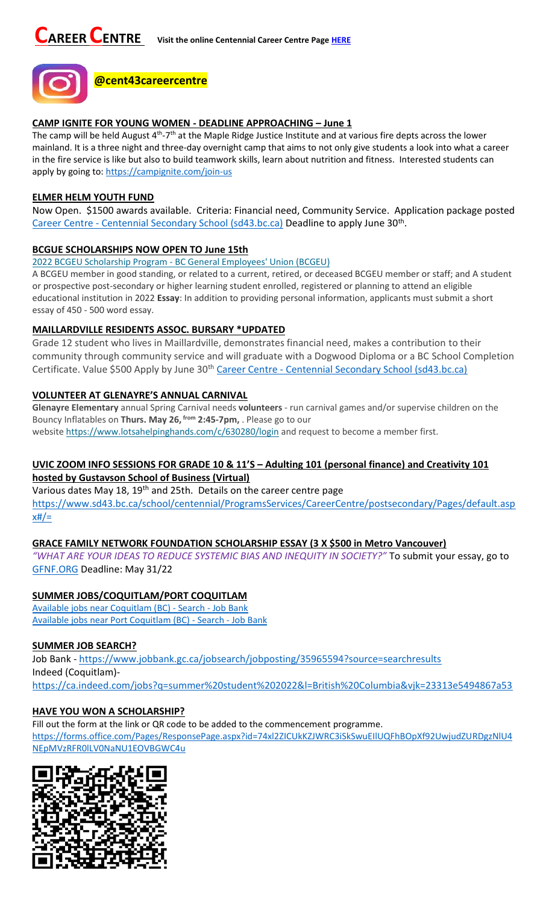

#### **CAMP IGNITE FOR YOUNG WOMEN - DEADLINE APPROACHING – June 1**

The camp will be held August 4<sup>th</sup>-7<sup>th</sup> at the Maple Ridge Justice Institute and at various fire depts across the lower mainland. It is a three night and three-day overnight camp that aims to not only give students a look into what a career in the fire service is like but also to build teamwork skills, learn about nutrition and fitness. Interested students can apply by going to:<https://campignite.com/join-us>

#### **ELMER HELM YOUTH FUND**

Now Open. \$1500 awards available. Criteria: Financial need, Community Service. Application package posted Career Centre - [Centennial Secondary School \(sd43.bc.ca\)](https://www.sd43.bc.ca/school/centennial/ProgramsServices/CareerCentre/financeawards/Pages/default.aspx?InitialTabId=Ribbon%2ERead&VisibilityContext=WSSTabPersistence#/=#InplviewHash02f87063-69d3-4710-8d10-63ddea64e857=) Deadline to apply June 30<sup>th</sup>.

### **BCGUE SCHOLARSHIPS NOW OPEN TO June 15th**

2022 BCGEU Scholarship Program - [BC General Employees' Union \(BCGEU\)](https://www.bcgeu.ca/2022_bcgeu_scholarship_program)

A BCGEU member in good standing, or related to a current, retired, or deceased BCGEU member or staff; and A student or prospective post-secondary or higher learning student enrolled, registered or planning to attend an eligible educational institution in 2022 **Essay**: In addition to providing personal information, applicants must submit a short essay of 450 - 500 word essay.

### **MAILLARDVILLE RESIDENTS ASSOC. BURSARY \*UPDATED**

Grade 12 student who lives in Maillardville, demonstrates financial need, makes a contribution to their community through community service and will graduate with a Dogwood Diploma or a BC School Completion Certificate. Value \$500 Apply by June 30<sup>th</sup> Career Centre - [Centennial Secondary School \(sd43.bc.ca\)](https://www.sd43.bc.ca/school/centennial/ProgramsServices/CareerCentre/financeawards/Pages/default.aspx?login=-73147025#/=)

### **VOLUNTEER AT GLENAYRE'S ANNUAL CARNIVAL**

**Glenayre Elementary** annual Spring Carnival needs **volunteers** - run carnival games and/or supervise children on the Bouncy Inflatables on **Thurs. May 26, from 2:45-7pm,** . Please go to our website <https://www.lotsahelpinghands.com/c/630280/login> and request to become a member first.

# **UVIC ZOOM INFO SESSIONS FOR GRADE 10 & 11'S – Adulting 101 (personal finance) and Creativity 101 hosted by Gustavson School of Business (Virtual)**

Various dates May 18, 19<sup>th</sup> and 25th. Details on the career centre page [https://www.sd43.bc.ca/school/centennial/ProgramsServices/CareerCentre/postsecondary/Pages/default.asp](https://www.sd43.bc.ca/school/centennial/ProgramsServices/CareerCentre/postsecondary/Pages/default.aspx#/=) [x#/=](https://www.sd43.bc.ca/school/centennial/ProgramsServices/CareerCentre/postsecondary/Pages/default.aspx#/=)

### **GRACE FAMILY NETWORK FOUNDATION SCHOLARSHIP ESSAY (3 X \$500 in Metro Vancouver)**

*"WHAT ARE YOUR IDEAS TO REDUCE SYSTEMIC BIAS AND INEQUITY IN SOCIETY?"* To submit your essay, go to [GFNF.ORG](http://www.gfnf.org/) Deadline: May 31/22

### **SUMMER JOBS/COQUITLAM/PORT COQUITLAM**

[Available jobs near Coquitlam \(BC\) -](https://www.jobbank.gc.ca/jobsearch/jobsearch?fsrc=21&searchstring=&locationstring=COQUITLAM&mid=&button.submit=Search) Search - Job Bank [Available jobs near Port Coquitlam \(BC\) -](https://www.jobbank.gc.ca/jobsearch/jobsearch?searchstring=&locationstring=Port+Coquitlam%2C+BC&fsrc=21) Search - Job Bank

### **SUMMER JOB SEARCH?**

Job Bank - <https://www.jobbank.gc.ca/jobsearch/jobposting/35965594?source=searchresults> Indeed (Coquitlam) <https://ca.indeed.com/jobs?q=summer%20student%202022&l=British%20Columbia&vjk=23313e5494867a53>

# **HAVE YOU WON A SCHOLARSHIP?**

Fill out the form at the link or QR code to be added to the commencement programme. [https://forms.office.com/Pages/ResponsePage.aspx?id=74xl2ZICUkKZJWRC3iSkSwuEIlUQFhBOpXf92UwjudZURDgzNlU4](https://forms.office.com/Pages/ResponsePage.aspx?id=74xl2ZICUkKZJWRC3iSkSwuEIlUQFhBOpXf92UwjudZURDgzNlU4NEpMVzRFR0lLV0NaNU1EOVBGWC4u) [NEpMVzRFR0lLV0NaNU1EOVBGWC4u](https://forms.office.com/Pages/ResponsePage.aspx?id=74xl2ZICUkKZJWRC3iSkSwuEIlUQFhBOpXf92UwjudZURDgzNlU4NEpMVzRFR0lLV0NaNU1EOVBGWC4u)